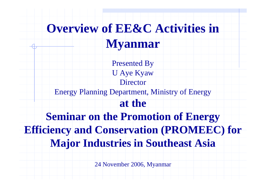# **Overview of EE&C Activities in**

### **Myanmar**

Presented By U Aye Kyaw DirectorEnergy Planning Department, Ministry of Energy **at the Seminar on the Promotion of Energy Efficiency and Conservation (PROMEEC) for Major Industries in Southeast Asia**

24 November 2006, Myanmar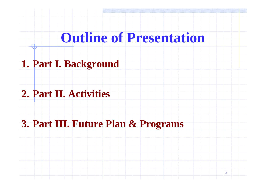# **Outline of Presentation**

#### **1. Part I. Background**

#### **2. Part II. Activities**

### **3. Part III. Future Plan & Programs**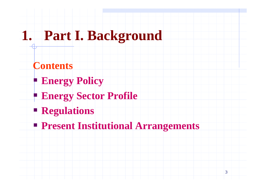## **1. Part I. Background**

- **Contents**
- **Energy Policy**
- **Energy Sector Profile**
- **Regulations**
- **Present Institutional Arrangements**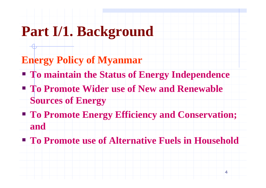# **Part I/1. Background**

- **Energy Policy of Myanmar**
	- **To maintain the Status of Energy Independence**
	- **To Promote Wider use of New and Renewable Sources of Energy**
	- **To Promote Energy Efficiency and Conservation; and**
	- **To Promote use of Alternative Fuels in Household**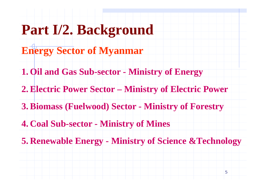# **Part I/2. Background**

- **Energy Sector of Myanmar**
- **1. Oil and Gas Sub-sector - Ministry of Energy**
- **2. Electric Power Sector – Ministry of Electric Power**
- **3. Biomass (Fuelwood) Sector - Ministry of Forestry**
- **4. Coal Sub-sector - Ministry of Mines**
- **5. Renewable Energy - Ministry of Science &Technology**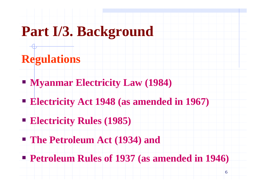# **Part I/3. Background**

### **Regulations**

- **Myanmar Electricity Law (1984)**
- **Electricity Act 1948 (as amended in 1967)**
- **Electricity Rules (1985)**
- **The Petroleum Act (1934) and**
- **Petroleum Rules of 1937 (as amended in 1946)**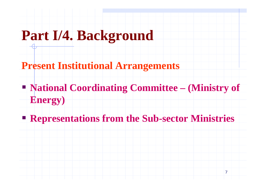# **Part I/4. Background**

- **Present Institutional Arrangements**
	- **National Coordinating Committee – (Ministry of Energy)**
	- **Representations from the Sub-sector Ministries**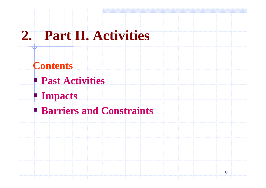## **2. Part II. Activities**

#### **Contents**

- **Past Activities**
- **Impacts**
- **Barriers and Constraints**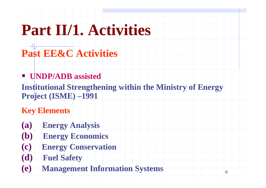# **Part II/1. Activities**

- **Past EE&C Activities**
- **UNDP/ADB assisted**
	- **Institutional Strengthening within the Ministry of Energy Project (ISME) –1991**
	- **Key Elements**
	- **(a) Energy Analysis**
	- **(b) Energy Economics**
	- **(c) Energy Conservation**
	- **(d) Fuel Safety**
	- **(e) Management Information Systems**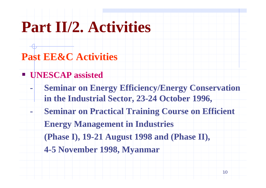# **Part II/2. Activities**

### **Past EE&C Activities**

#### **UNESCAP assisted**

- **- Seminar on Energy Efficiency/Energy Conservation in the Industrial Sector, 23-24 October 1996,**
- **- Seminar on Practical Training Course on Efficient Energy Management in Industries** 
	- **(Phase I), 19-21 August 1998 and (Phase II),**
	- **4-5 November 1998, Myanmar**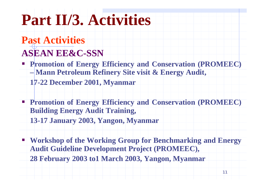# **Part II/3. Activities**

### **Past Activities**

#### **ASEAN EE&C-SSN**

- **Promotion of Energy Efficiency and Conservation (PROMEEC) Mann Petroleum Refinery Site visit & Energy Audit, 17-22 December 2001, Myanmar**
- **Promotion of Energy Efficiency and Conservation (PROMEEC) Building Energy Audit Training,**
- **13-17 January 2003, Yangon, Myanmar**
- **Workshop of the Working Group for Benchmarking and Energy Audit Guideline Development Project (PROMEEC), 28 February 2003 to1 March 2003, Yangon, Myanmar**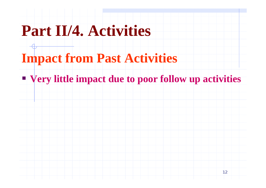# **Part II/4. Activities**

## **Impact from Past Activities**

#### **Very little impact due to poor follow up activities**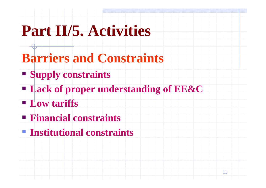# **Part II/5. Activities**

- **Barriers and Constraints**
	- **Supply constraints**
	- **Lack of proper understanding of EE&C**
	- **Low tariffs**
	- **Financial constraints**
	- **Institutional constraints**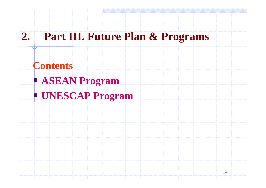### **2. Part III. Future Plan & Programs**

#### **Contents**

- **ASEAN Program**
- **UNESCAP Program**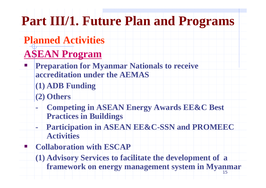## **Part III/1. Future Plan and Programs**

## **Planned Activities**

## **ASEAN Program**

- **Preparation for Myanmar Nationals to receive accreditation under the AEMAS**
	- **(1) ADB Funding**
	- **(2) Others**

T

e<br>Li

- **- Competing in ASEAN Energy Awards EE&C Best Practices in Buildings**
- **- Participation in ASEAN EE&C-SSN and PROMEEC Activities**
- **Collaboration with ESCAP**
	- 15**framework on energy management system in Myanmar(1) Advisory Services to facilitate the development of a**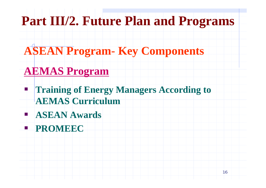## **Part III/2. Future Plan and Programs**

## **ASEAN Program- Key Components**

## **AEMAS Program**

**Training of Energy Managers According to AEMAS Curriculum** 

**ASEAN Awards**

**PROMEEC**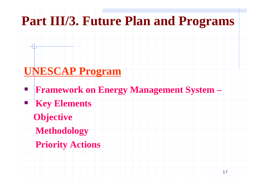## **Part III/3. Future Plan and Programs**

### **UNESCAP Program**

- **Framework on Energy Management System –**
- **Key Elements**
- **Objective**

**Service Service** 

T

- **Methodology**
- **Priority Actions**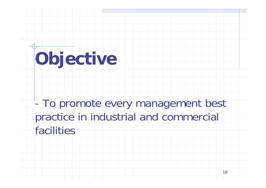# **Objective**

- To promote every management best practice in industrial and commercial facilities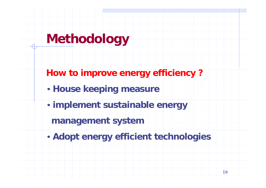# **Methodology**

- **How to improve energy efficiency ?**
- **House keeping measure**
- **implement sustainable energy** 
	- **management system**
- **Adopt energy efficient technologies**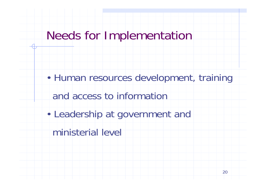## Needs for Implementation

• Human resources development, training and access to information• Leadership at government and ministerial level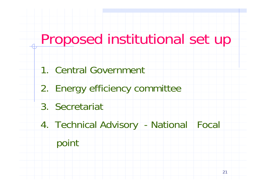# Proposed institutional set up

- 1. Central Government
- 2. Energy efficiency committee
- 3. Secretariat
- 4. Technical Advisory National Focal

### point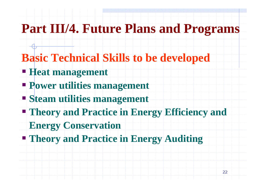## **Part III/4. Future Plans and Programs**

- **Basic Technical Skills to be developed**
- **Heat management**
- **Power utilities management**
- **Steam utilities management**
- **Theory and Practice in Energy Efficiency and**
- **Energy Conservation**
- **Theory and Practice in Energy Auditing**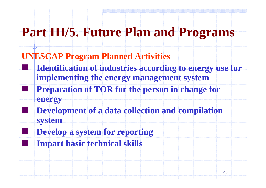# **Part III/5. Future Plan and Programs**

#### **UNESCAP Program Planned Activities**

T

T

e<br>Li

- **Identification of industries according to energy use for implementing the energy management system Preparation of TOR for the person in change for energy**
- **Development of a data collection and compilation system**
- **Develop a system for reporting Impart basic technical skills**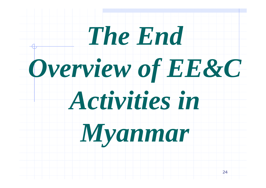